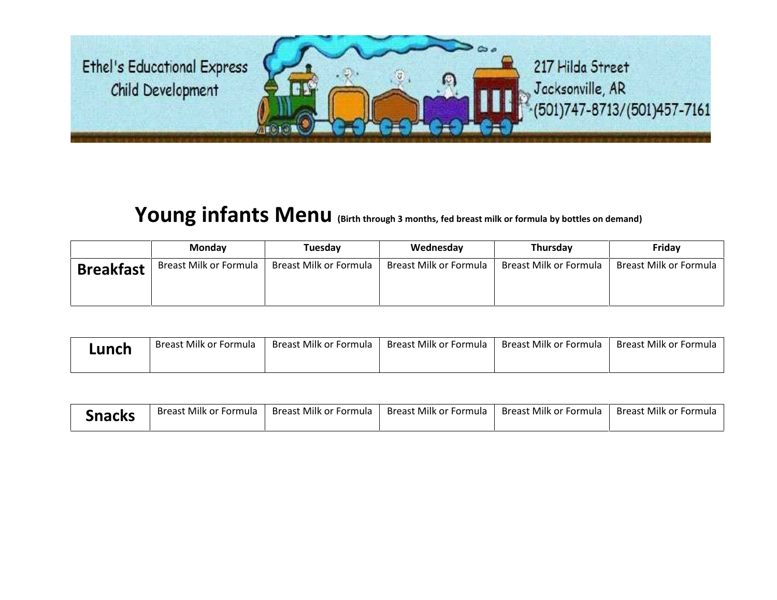Ethel's Educational Express 217 Hilda Street Jacksonville, AR Child Development (501)747-8713/(501)457-7161

## **Young infants Menu (Birth through 3 months, fed breast milk or formula by bottles on demand)**

|                  | <b>Monday</b>          | Tuesdav                | Wednesday              | <b>Thursday</b>        | Friday                 |
|------------------|------------------------|------------------------|------------------------|------------------------|------------------------|
| <b>Breakfast</b> | Breast Milk or Formula | Breast Milk or Formula | Breast Milk or Formula | Breast Milk or Formula | Breast Milk or Formula |

| Lunch | Breast Milk or Formula | Breast Milk or Formula | Breast Milk or Formula | Breast Milk or Formula | Breast Milk or Formula |
|-------|------------------------|------------------------|------------------------|------------------------|------------------------|
|       |                        |                        |                        |                        |                        |

| <b>Snacks</b> | Breast Milk or Formula | Breast Milk or Formula | Breast Milk or Formula | Breast Milk or Formula | Breast Milk or Formula |
|---------------|------------------------|------------------------|------------------------|------------------------|------------------------|
|---------------|------------------------|------------------------|------------------------|------------------------|------------------------|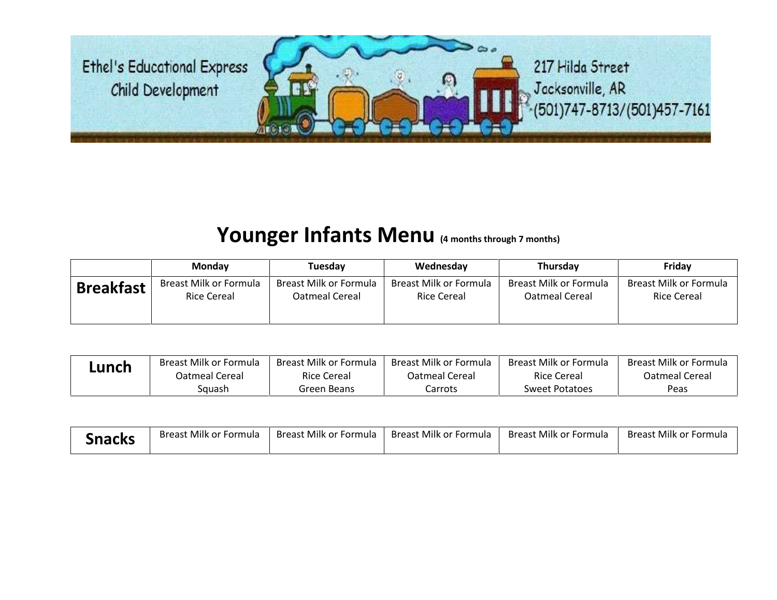Ethel's Educational Express Child Development



## **Younger Infants Menu (4 months through 7 months)**

|                  | <b>Monday</b>          | Tuesdav                | Wednesday              | Thursday               | Friday                 |
|------------------|------------------------|------------------------|------------------------|------------------------|------------------------|
| <b>Breakfast</b> | Breast Milk or Formula | Breast Milk or Formula | Breast Milk or Formula | Breast Milk or Formula | Breast Milk or Formula |
|                  | Rice Cereal            | Oatmeal Cereal         | Rice Cereal            | Oatmeal Cereal         | <b>Rice Cereal</b>     |

| Lunch | Breast Milk or Formula | Breast Milk or Formula | Breast Milk or Formula | Breast Milk or Formula | Breast Milk or Formula |
|-------|------------------------|------------------------|------------------------|------------------------|------------------------|
|       | Oatmeal Cereal         | Rice Cereal            | Oatmeal Cereal         | <b>Rice Cereal</b>     | Oatmeal Cereal         |
|       | Squash                 | Green Beans            | Carrots                | Sweet Potatoes         | Peas                   |

| Snacks | <b>Breast Milk or Formula</b> | Breast Milk or Formula | Breast Milk or Formula | <b>Breast Milk or Formula</b> | <b>Breast Milk or Formula</b> |
|--------|-------------------------------|------------------------|------------------------|-------------------------------|-------------------------------|
|--------|-------------------------------|------------------------|------------------------|-------------------------------|-------------------------------|